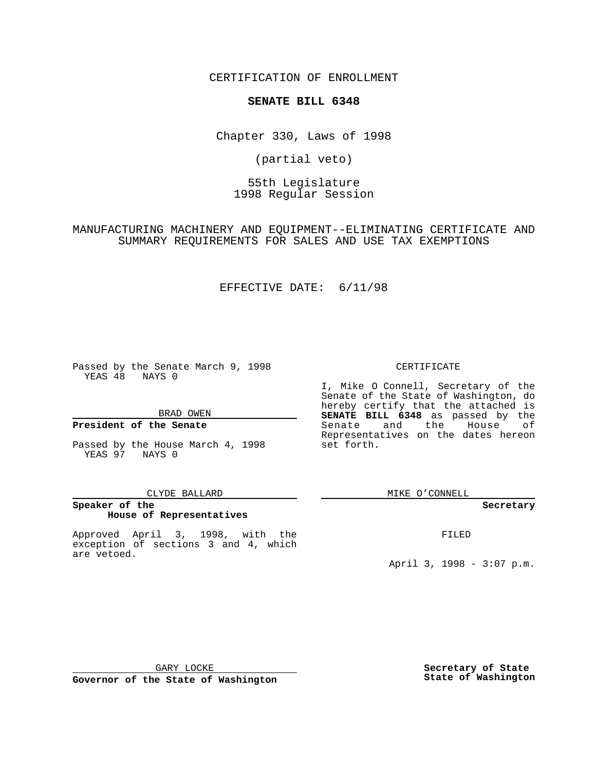CERTIFICATION OF ENROLLMENT

## **SENATE BILL 6348**

Chapter 330, Laws of 1998

(partial veto)

55th Legislature 1998 Regular Session

MANUFACTURING MACHINERY AND EQUIPMENT--ELIMINATING CERTIFICATE AND SUMMARY REQUIREMENTS FOR SALES AND USE TAX EXEMPTIONS

## EFFECTIVE DATE: 6/11/98

Passed by the Senate March 9, 1998 YEAS 48 NAYS 0

BRAD OWEN

### **President of the Senate**

Passed by the House March 4, 1998 YEAS 97 NAYS 0

#### CLYDE BALLARD

### **Speaker of the House of Representatives**

Approved April 3, 1998, with the exception of sections 3 and 4, which are vetoed.

#### CERTIFICATE

I, Mike O Connell, Secretary of the Senate of the State of Washington, do hereby certify that the attached is **SENATE BILL 6348** as passed by the Senate and the House of Representatives on the dates hereon set forth.

MIKE O'CONNELL

#### **Secretary**

FILED

April 3, 1998 - 3:07 p.m.

GARY LOCKE

**Governor of the State of Washington**

**Secretary of State State of Washington**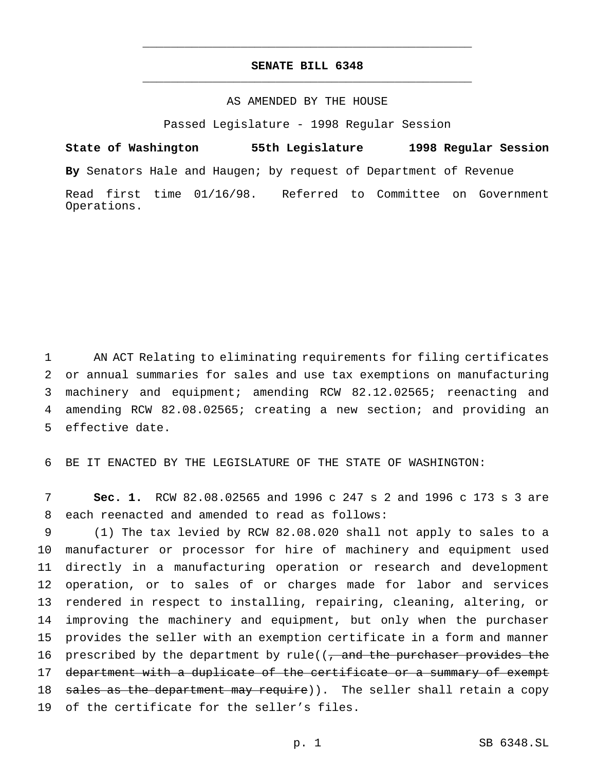# **SENATE BILL 6348** \_\_\_\_\_\_\_\_\_\_\_\_\_\_\_\_\_\_\_\_\_\_\_\_\_\_\_\_\_\_\_\_\_\_\_\_\_\_\_\_\_\_\_\_\_\_\_

\_\_\_\_\_\_\_\_\_\_\_\_\_\_\_\_\_\_\_\_\_\_\_\_\_\_\_\_\_\_\_\_\_\_\_\_\_\_\_\_\_\_\_\_\_\_\_

### AS AMENDED BY THE HOUSE

Passed Legislature - 1998 Regular Session

**State of Washington 55th Legislature 1998 Regular Session By** Senators Hale and Haugen; by request of Department of Revenue Read first time 01/16/98. Referred to Committee on Government Operations.

 AN ACT Relating to eliminating requirements for filing certificates or annual summaries for sales and use tax exemptions on manufacturing machinery and equipment; amending RCW 82.12.02565; reenacting and amending RCW 82.08.02565; creating a new section; and providing an effective date.

6 BE IT ENACTED BY THE LEGISLATURE OF THE STATE OF WASHINGTON:

7 **Sec. 1.** RCW 82.08.02565 and 1996 c 247 s 2 and 1996 c 173 s 3 are 8 each reenacted and amended to read as follows:

 (1) The tax levied by RCW 82.08.020 shall not apply to sales to a manufacturer or processor for hire of machinery and equipment used directly in a manufacturing operation or research and development operation, or to sales of or charges made for labor and services rendered in respect to installing, repairing, cleaning, altering, or improving the machinery and equipment, but only when the purchaser provides the seller with an exemption certificate in a form and manner 16 prescribed by the department by rule( $\frac{1}{2}$  and the purchaser provides the 17 department with a duplicate of the certificate or a summary of exempt 18 sales as the department may require)). The seller shall retain a copy of the certificate for the seller's files.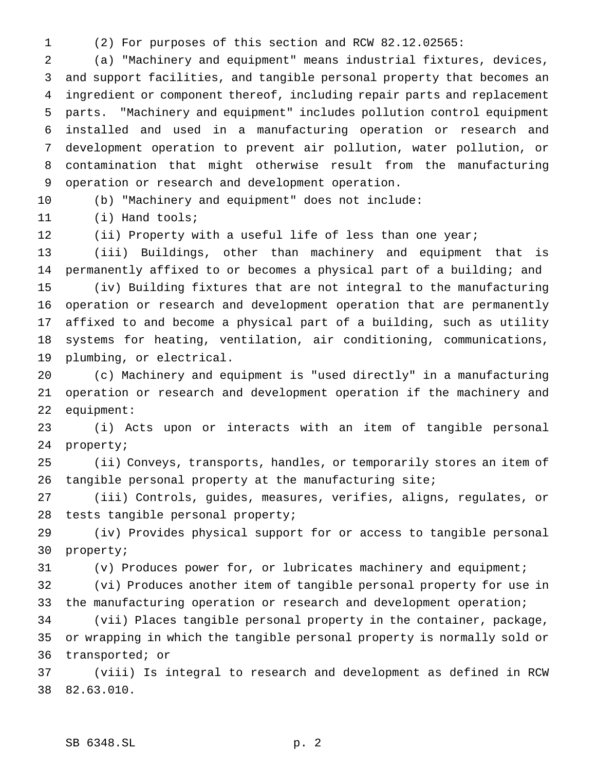(2) For purposes of this section and RCW 82.12.02565:

 (a) "Machinery and equipment" means industrial fixtures, devices, and support facilities, and tangible personal property that becomes an ingredient or component thereof, including repair parts and replacement parts. "Machinery and equipment" includes pollution control equipment installed and used in a manufacturing operation or research and development operation to prevent air pollution, water pollution, or contamination that might otherwise result from the manufacturing operation or research and development operation.

(b) "Machinery and equipment" does not include:

(i) Hand tools;

12 (ii) Property with a useful life of less than one year;

 (iii) Buildings, other than machinery and equipment that is permanently affixed to or becomes a physical part of a building; and (iv) Building fixtures that are not integral to the manufacturing operation or research and development operation that are permanently affixed to and become a physical part of a building, such as utility systems for heating, ventilation, air conditioning, communications, plumbing, or electrical.

 (c) Machinery and equipment is "used directly" in a manufacturing operation or research and development operation if the machinery and equipment:

 (i) Acts upon or interacts with an item of tangible personal property;

 (ii) Conveys, transports, handles, or temporarily stores an item of tangible personal property at the manufacturing site;

 (iii) Controls, guides, measures, verifies, aligns, regulates, or tests tangible personal property;

 (iv) Provides physical support for or access to tangible personal property;

(v) Produces power for, or lubricates machinery and equipment;

 (vi) Produces another item of tangible personal property for use in the manufacturing operation or research and development operation;

 (vii) Places tangible personal property in the container, package, or wrapping in which the tangible personal property is normally sold or transported; or

 (viii) Is integral to research and development as defined in RCW 82.63.010.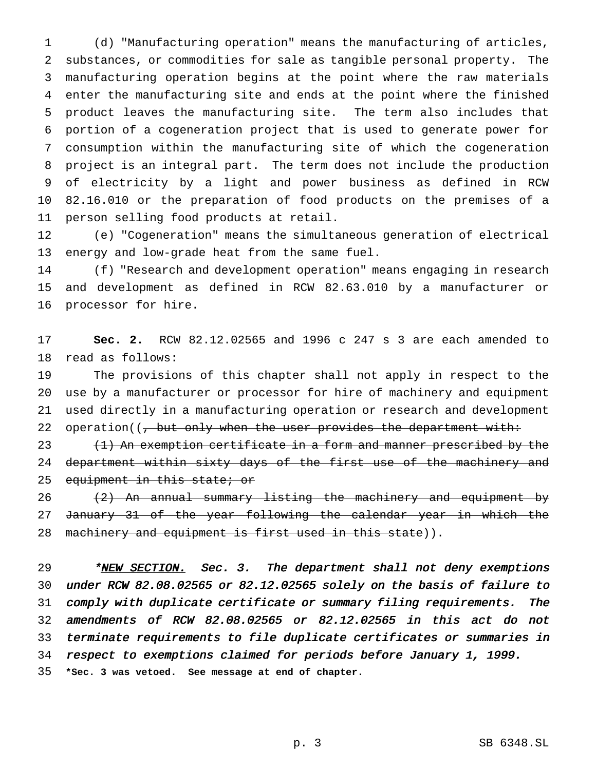(d) "Manufacturing operation" means the manufacturing of articles, substances, or commodities for sale as tangible personal property. The manufacturing operation begins at the point where the raw materials enter the manufacturing site and ends at the point where the finished product leaves the manufacturing site. The term also includes that portion of a cogeneration project that is used to generate power for consumption within the manufacturing site of which the cogeneration project is an integral part. The term does not include the production of electricity by a light and power business as defined in RCW 82.16.010 or the preparation of food products on the premises of a person selling food products at retail.

 (e) "Cogeneration" means the simultaneous generation of electrical energy and low-grade heat from the same fuel.

 (f) "Research and development operation" means engaging in research and development as defined in RCW 82.63.010 by a manufacturer or processor for hire.

 **Sec. 2.** RCW 82.12.02565 and 1996 c 247 s 3 are each amended to read as follows:

 The provisions of this chapter shall not apply in respect to the use by a manufacturer or processor for hire of machinery and equipment used directly in a manufacturing operation or research and development 22 operation((, but only when the user provides the department with:

23 (1) An exemption certificate in a form and manner prescribed by the 24 department within sixty days of the first use of the machinery and 25 equipment in this state; or

 $(2)$  An annual summary listing the machinery and equipment by January 31 of the year following the calendar year in which the 28 machinery and equipment is first used in this state)).

29 \*NEW SECTION. Sec. 3. The department shall not deny exemptions under RCW 82.08.02565 or 82.12.02565 solely on the basis of failure to comply with duplicate certificate or summary filing requirements. The amendments of RCW 82.08.02565 or 82.12.02565 in this act do not terminate requirements to file duplicate certificates or summaries in respect to exemptions claimed for periods before January 1, 1999.

**\*Sec. 3 was vetoed. See message at end of chapter.**